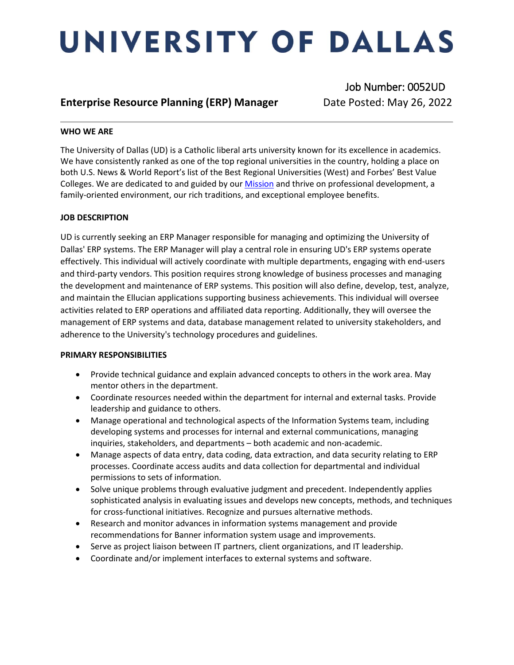# UNIVERSITY OF DALLAS

### **Enterprise Resource Planning (ERP) Manager Date Posted: May 26, 2022**

Job Number: 0052UD

### **WHO WE ARE**

The University of Dallas (UD) is a Catholic liberal arts university known for its excellence in academics. We have consistently ranked as one of the top regional universities in the country, holding a place on both U.S. News & World Report's list of the Best Regional Universities (West) and Forbes' Best Value Colleges. We are dedicated to and guided by our **Mission** and thrive on professional development, a family-oriented environment, our rich traditions, and exceptional employee benefits.

### **JOB DESCRIPTION**

UD is currently seeking an ERP Manager responsible for managing and optimizing the University of Dallas' ERP systems. The ERP Manager will play a central role in ensuring UD's ERP systems operate effectively. This individual will actively coordinate with multiple departments, engaging with end-users and third-party vendors. This position requires strong knowledge of business processes and managing the development and maintenance of ERP systems. This position will also define, develop, test, analyze, and maintain the Ellucian applications supporting business achievements. This individual will oversee activities related to ERP operations and affiliated data reporting. Additionally, they will oversee the management of ERP systems and data, database management related to university stakeholders, and adherence to the University's technology procedures and guidelines.

### **PRIMARY RESPONSIBILITIES**

- Provide technical guidance and explain advanced concepts to others in the work area. May mentor others in the department.
- Coordinate resources needed within the department for internal and external tasks. Provide leadership and guidance to others.
- Manage operational and technological aspects of the Information Systems team, including developing systems and processes for internal and external communications, managing inquiries, stakeholders, and departments – both academic and non-academic.
- Manage aspects of data entry, data coding, data extraction, and data security relating to ERP processes. Coordinate access audits and data collection for departmental and individual permissions to sets of information.
- Solve unique problems through evaluative judgment and precedent. Independently applies sophisticated analysis in evaluating issues and develops new concepts, methods, and techniques for cross-functional initiatives. Recognize and pursues alternative methods.
- Research and monitor advances in information systems management and provide recommendations for Banner information system usage and improvements.
- Serve as project liaison between IT partners, client organizations, and IT leadership.
- Coordinate and/or implement interfaces to external systems and software.